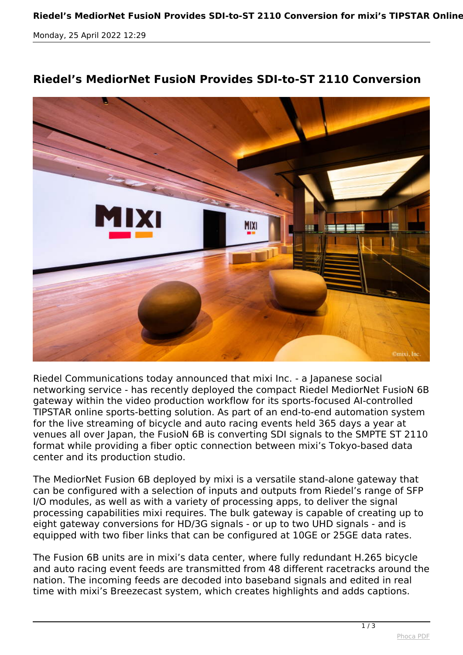*Monday, 25 April 2022 12:29*



## **Riedel's MediorNet FusioN Provides SDI-to-ST 2110 Conversion**

*Riedel Communications today announced that mixi Inc. - a Japanese social networking service - has recently deployed the compact Riedel MediorNet FusioN 6B gateway within the video production workflow for its sports-focused AI-controlled TIPSTAR online sports-betting solution. As part of an end-to-end automation system for the live streaming of bicycle and auto racing events held 365 days a year at venues all over Japan, the FusioN 6B is converting SDI signals to the SMPTE ST 2110 format while providing a fiber optic connection between mixi's Tokyo-based data center and its production studio.*

*The MediorNet Fusion 6B deployed by mixi is a versatile stand-alone gateway that can be configured with a selection of inputs and outputs from Riedel's range of SFP I/O modules, as well as with a variety of processing apps, to deliver the signal processing capabilities mixi requires. The bulk gateway is capable of creating up to eight gateway conversions for HD/3G signals - or up to two UHD signals - and is equipped with two fiber links that can be configured at 10GE or 25GE data rates.*

*The Fusion 6B units are in mixi's data center, where fully redundant H.265 bicycle and auto racing event feeds are transmitted from 48 different racetracks around the nation. The incoming feeds are decoded into baseband signals and edited in real time with mixi's Breezecast system, which creates highlights and adds captions.*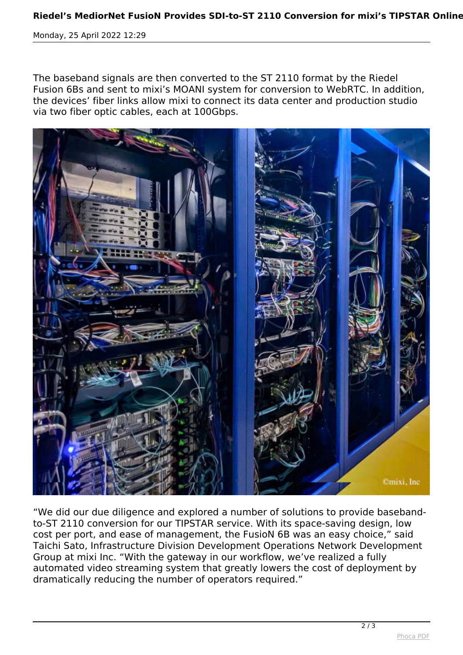*Monday, 25 April 2022 12:29*

*The baseband signals are then converted to the ST 2110 format by the Riedel Fusion 6Bs and sent to mixi's MOANI system for conversion to WebRTC. In addition, the devices' fiber links allow mixi to connect its data center and production studio via two fiber optic cables, each at 100Gbps.*



*"We did our due diligence and explored a number of solutions to provide basebandto-ST 2110 conversion for our TIPSTAR service. With its space-saving design, low cost per port, and ease of management, the FusioN 6B was an easy choice," said Taichi Sato, Infrastructure Division Development Operations Network Development Group at mixi Inc. "With the gateway in our workflow, we've realized a fully automated video streaming system that greatly lowers the cost of deployment by dramatically reducing the number of operators required."*